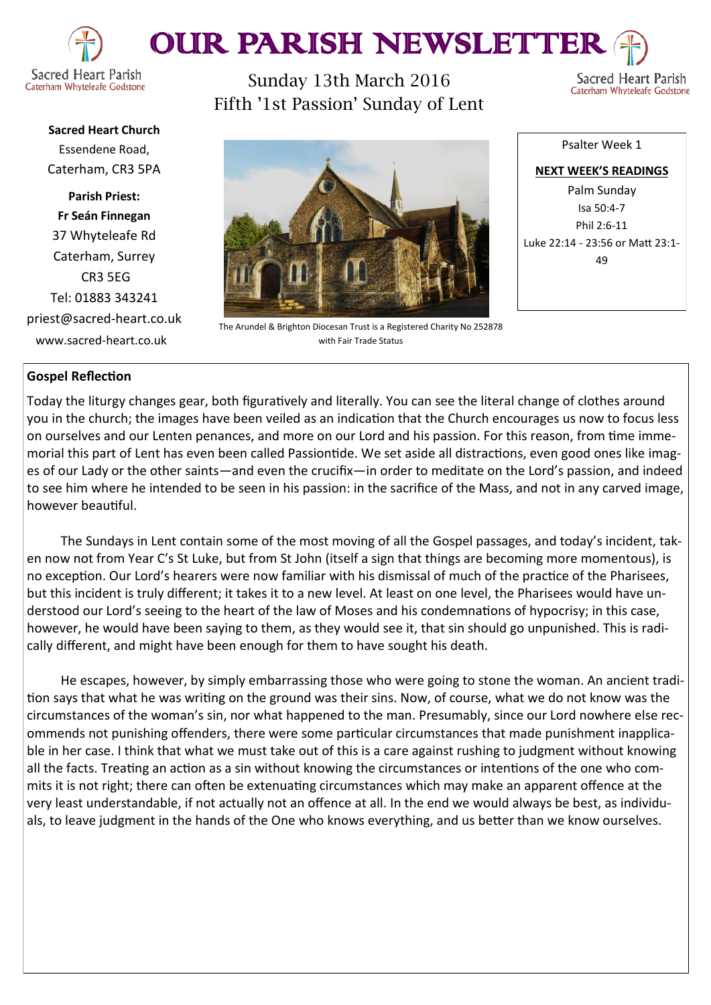

# OUR PARISH NEWSLETTEI

Caterham Whyteleafe Godstone

Sunday 13th March 2016 Fifth '1st Passion' Sunday of Lent

Sacred Heart Parish Caterham Whyteleafe Godstone

**Sacred Heart Church** Essendene Road, Caterham, CR3 5PA

**Parish Priest: Fr Seán Finnegan** 37 Whyteleafe Rd Caterham, Surrey CR3 5EG Tel: 01883 343241 priest@sacred-heart.co.uk www.sacred-heart.co.uk



The Arundel & Brighton Diocesan Trust is a Registered Charity No 252878 with Fair Trade Status

**NEXT WEEK'S READINGS** Palm Sunday Isa 50:4-7 Phil 2:6-11 Luke 22:14 - 23:56 or Matt 23:1-  $\overline{A}Q$ 

Psalter Week 1

# **Gospel Reflection**

Today the liturgy changes gear, both figuratively and literally. You can see the literal change of clothes around you in the church; the images have been veiled as an indication that the Church encourages us now to focus less on ourselves and our Lenten penances, and more on our Lord and his passion. For this reason, from time immemorial this part of Lent has even been called Passiontide. We set aside all distractions, even good ones like images of our Lady or the other saints—and even the crucifix—in order to meditate on the Lord's passion, and indeed to see him where he intended to be seen in his passion: in the sacrifice of the Mass, and not in any carved image, however beautiful.

The Sundays in Lent contain some of the most moving of all the Gospel passages, and today's incident, taken now not from Year C's St Luke, but from St John (itself a sign that things are becoming more momentous), is no exception. Our Lord's hearers were now familiar with his dismissal of much of the practice of the Pharisees, but this incident is truly different; it takes it to a new level. At least on one level, the Pharisees would have understood our Lord's seeing to the heart of the law of Moses and his condemnations of hypocrisy; in this case, however, he would have been saying to them, as they would see it, that sin should go unpunished. This is radically different, and might have been enough for them to have sought his death.

He escapes, however, by simply embarrassing those who were going to stone the woman. An ancient tradition says that what he was writing on the ground was their sins. Now, of course, what we do not know was the circumstances of the woman's sin, nor what happened to the man. Presumably, since our Lord nowhere else recommends not punishing offenders, there were some particular circumstances that made punishment inapplicable in her case. I think that what we must take out of this is a care against rushing to judgment without knowing all the facts. Treating an action as a sin without knowing the circumstances or intentions of the one who commits it is not right; there can often be extenuating circumstances which may make an apparent offence at the very least understandable, if not actually not an offence at all. In the end we would always be best, as individuals, to leave judgment in the hands of the One who knows everything, and us better than we know ourselves.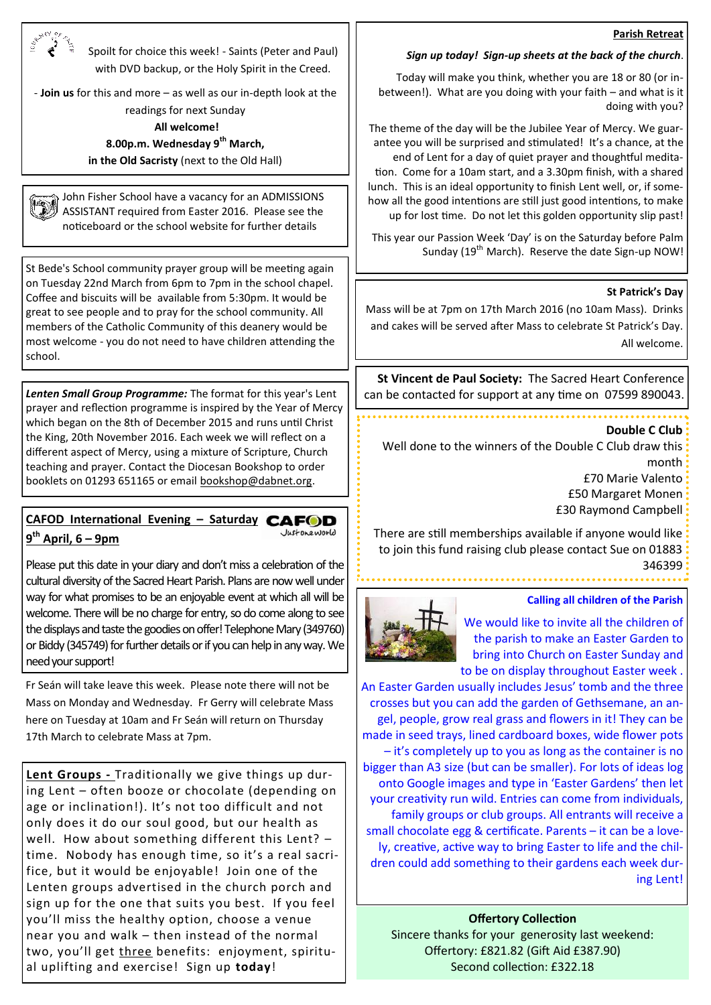### **Parish Retreat**

Spoilt for choice this week! - Saints (Peter and Paul) with DVD backup, or the Holy Spirit in the Creed.

- **Join us** for this and more – as well as our in-depth look at the readings for next Sunday

**All welcome!** 

**8.00p.m. Wednesday 9th March, in the Old Sacristy** (next to the Old Hall)

John Fisher School have a vacancy for an ADMISSIONS ASSISTANT required from Easter 2016. Please see the noticeboard or the school website for further details

St Bede's School community prayer group will be meeting again on Tuesday 22nd March from 6pm to 7pm in the school chapel. Coffee and biscuits will be available from 5:30pm. It would be great to see people and to pray for the school community. All members of the Catholic Community of this deanery would be most welcome - you do not need to have children attending the school.

*Lenten Small Group Programme:* The format for this year's Lent prayer and reflection programme is inspired by the Year of Mercy which began on the 8th of December 2015 and runs until Christ the King, 20th November 2016. Each week we will reflect on a different aspect of Mercy, using a mixture of Scripture, Church teaching and prayer. Contact the Diocesan Bookshop to order booklets on 01293 651165 or email [bookshop@dabnet.org.](mailto:bookshop@dabnet.org?subject=Lenten%20Small%20Group%20booklets) 

#### **CAFOD International Evening – Saturday**  Justoneworld **9 th April, 6 – 9pm**

Please put this date in your diary and don't miss a celebration of the cultural diversity of the Sacred Heart Parish. Plans are now well under way for what promises to be an enjoyable event at which all will be welcome. There will be no charge for entry, so do come along to see the displays and taste the goodies on offer! Telephone Mary (349760) or Biddy (345749) for further details or if you can help in any way. We need your support!

Fr Seán will take leave this week. Please note there will not be Mass on Monday and Wednesday. Fr Gerry will celebrate Mass here on Tuesday at 10am and Fr Seán will return on Thursday 17th March to celebrate Mass at 7pm.

**Lent Groups -** Traditionally we give things up during Lent – often booze or chocolate (depending on age or inclination!). It's not too difficult and not only does it do our soul good, but our health as well. How about something different this Lent? – time. Nobody has enough time, so it's a real sacrifice, but it would be enjoyable! Join one of the Lenten groups advertised in the church porch and sign up for the one that suits you best. If you feel you'll miss the healthy option, choose a venue near you and walk – then instead of the normal two, you'll get three benefits: enjoyment, spiritual uplifting and exercise! Sign up **today**!

#### *Sign up today! Sign-up sheets at the back of the church*.

Today will make you think, whether you are 18 or 80 (or inbetween!). What are you doing with your faith – and what is it doing with you?

The theme of the day will be the Jubilee Year of Mercy. We guarantee you will be surprised and stimulated! It's a chance, at the end of Lent for a day of quiet prayer and thoughtful meditation. Come for a 10am start, and a 3.30pm finish, with a shared lunch. This is an ideal opportunity to finish Lent well, or, if somehow all the good intentions are still just good intentions, to make up for lost time. Do not let this golden opportunity slip past!

This year our Passion Week 'Day' is on the Saturday before Palm Sunday (19<sup>th</sup> March). Reserve the date Sign-up NOW!

#### **St Patrick's Day**

Mass will be at 7pm on 17th March 2016 (no 10am Mass). Drinks and cakes will be served after Mass to celebrate St Patrick's Day. All welcome.

**St Vincent de Paul Society:** The Sacred Heart Conference can be contacted for support at any time on 07599 890043.

#### **Double C Club**

Well done to the winners of the Double C Club draw this month £70 Marie Valento £50 Margaret Monen

£30 Raymond Campbell

There are still memberships available if anyone would like to join this fund raising club please contact Sue on 01883 346399



#### **Calling all children of the Parish**

We would like to invite all the children of the parish to make an Easter Garden to bring into Church on Easter Sunday and to be on display throughout Easter week .

An Easter Garden usually includes Jesus' tomb and the three crosses but you can add the garden of Gethsemane, an angel, people, grow real grass and flowers in it! They can be made in seed trays, lined cardboard boxes, wide flower pots – it's completely up to you as long as the container is no bigger than A3 size (but can be smaller). For lots of ideas log onto Google images and type in 'Easter Gardens' then let your creativity run wild. Entries can come from individuals, family groups or club groups. All entrants will receive a small chocolate egg & certificate. Parents – it can be a lovely, creative, active way to bring Easter to life and the children could add something to their gardens each week during Lent!

#### **Offertory Collection**

Sincere thanks for your generosity last weekend: Offertory: £821.82 (Gift Aid £387.90) Second collection: £322.18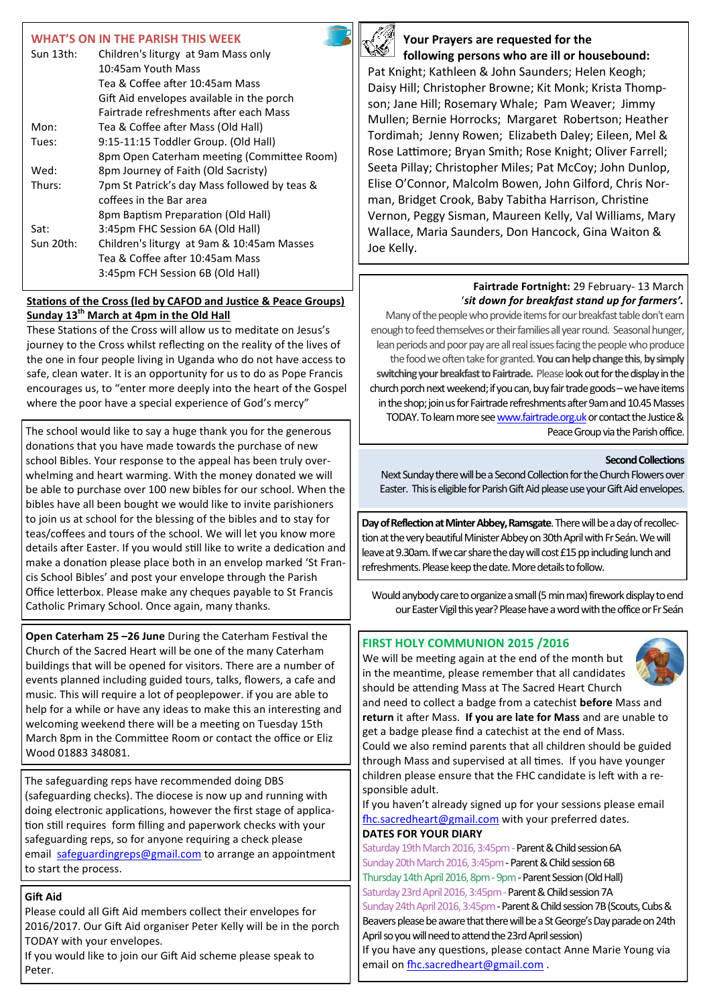## **WHAT'S ON IN THE PARISH THIS WEEK**

| Sun 13th:                                     | Children's liturgy at 9am Mass only          |
|-----------------------------------------------|----------------------------------------------|
|                                               | 10:45am Youth Mass                           |
|                                               | Tea & Coffee after 10:45am Mass              |
|                                               | Gift Aid envelopes available in the porch    |
|                                               | Fairtrade refreshments after each Mass       |
| Mon:                                          | Tea & Coffee after Mass (Old Hall)           |
| 9:15-11:15 Toddler Group. (Old Hall)<br>Tues: |                                              |
|                                               | 8pm Open Caterham meeting (Committee Room)   |
| Wed:                                          | 8pm Journey of Faith (Old Sacristy)          |
| Thurs:                                        | 7pm St Patrick's day Mass followed by teas & |
|                                               | coffees in the Bar area                      |
|                                               | 8pm Baptism Preparation (Old Hall)           |
| Sat:                                          | 3:45pm FHC Session 6A (Old Hall)             |
| Sun 20th:                                     | Children's liturgy at 9am & 10:45am Masses   |
|                                               | Tea & Coffee after 10:45am Mass              |
|                                               | 3:45pm FCH Session 6B (Old Hall)             |
|                                               |                                              |

## **Stations of the Cross (led by CAFOD and Justice & Peace Groups) Sunday 13th March at 4pm in the Old Hall**

These Stations of the Cross will allow us to meditate on Jesus's journey to the Cross whilst reflecting on the reality of the lives of the one in four people living in Uganda who do not have access to safe, clean water. It is an opportunity for us to do as Pope Francis encourages us, to "enter more deeply into the heart of the Gospel where the poor have a special experience of God's mercy"

The school would like to say a huge thank you for the generous donations that you have made towards the purchase of new school Bibles. Your response to the appeal has been truly overwhelming and heart warming. With the money donated we will be able to purchase over 100 new bibles for our school. When the bibles have all been bought we would like to invite parishioners to join us at school for the blessing of the bibles and to stay for teas/coffees and tours of the school. We will let you know more details after Easter. If you would still like to write a dedication and make a donation please place both in an envelop marked 'St Francis School Bibles' and post your envelope through the Parish Office letterbox. Please make any cheques payable to St Francis Catholic Primary School. Once again, many thanks.

**Open Caterham 25 –26 June** During the Caterham Festival the Church of the Sacred Heart will be one of the many Caterham buildings that will be opened for visitors. There are a number of events planned including guided tours, talks, flowers, a cafe and music. This will require a lot of peoplepower. if you are able to help for a while or have any ideas to make this an interesting and welcoming weekend there will be a meeting on Tuesday 15th March 8pm in the Committee Room or contact the office or Eliz Wood 01883 348081.

The safeguarding reps have recommended doing DBS (safeguarding checks). The diocese is now up and running with doing electronic applications, however the first stage of application still requires form filling and paperwork checks with your safeguarding reps, so for anyone requiring a check please email [safeguardingreps@gmail.com](mailto:safeguardingreps@gmail.com) to arrange an appointment to start the process.

## **Gift Aid**

Please could all Gift Aid members collect their envelopes for 2016/2017. Our Gift Aid organiser Peter Kelly will be in the porch TODAY with your envelopes.

If you would like to join our Gift Aid scheme please speak to Peter.



# **Your Prayers are requested for the following persons who are ill or housebound:**

Pat Knight; Kathleen & John Saunders; Helen Keogh; Daisy Hill; Christopher Browne; Kit Monk; Krista Thompson; Jane Hill; Rosemary Whale; Pam Weaver; Jimmy Mullen; Bernie Horrocks; Margaret Robertson; Heather Tordimah; Jenny Rowen; Elizabeth Daley; Eileen, Mel & Rose Lattimore; Bryan Smith; Rose Knight; Oliver Farrell; Seeta Pillay; Christopher Miles; Pat McCoy; John Dunlop, Elise O'Connor, Malcolm Bowen, John Gilford, Chris Norman, Bridget Crook, Baby Tabitha Harrison, Christine Vernon, Peggy Sisman, Maureen Kelly, Val Williams, Mary Wallace, Maria Saunders, Don Hancock, Gina Waiton & Joe Kelly.

# **Fairtrade Fortnight:** 29 February- 13 March '*sit down for breakfast stand up for farmers'.*

Many of the people who provide items for our breakfast table don't earn enough to feed themselves or their families all year round. Seasonal hunger, lean periods and poor pay are all real issues facing the people who produce the food we often take for granted.**You can help change this**, **by simply switching your breakfast to Fairtrade.** Please look out for the display in the church porch next weekend; if you can, buy fair trade goods –we have items in the shop; join us for Fairtrade refreshments after 9am and 10.45 Masses TODAY. To learn more see www.fairtrade.org.uk or contact the Justice & Peace Group via the Parish office.

## **Second Collections**

Next Sunday there will be a Second Collection for the Church Flowers over Easter. This is eligible for Parish Gift Aid please use your Gift Aid envelopes.

**Day of Reflection at Minter Abbey, Ramsgate**. There will be a day of recollection at the very beautiful Minister Abbey on 30th April with Fr Seán. We will leave at 9.30am. If we car share the day will cost £15 pp including lunch and refreshments. Please keep the date. More details to follow.

Would anybody care to organize a small (5 min max) firework display to end our Easter Vigil this year? Please have a word with the office or Fr Seán

## **FIRST HOLY COMMUNION 2015 /2016**

We will be meeting again at the end of the month but in the meantime, please remember that all candidates should be attending Mass at The Sacred Heart Church



and need to collect a badge from a catechist **before** Mass and **return** it after Mass. **If you are late for Mass** and are unable to get a badge please find a catechist at the end of Mass.

Could we also remind parents that all children should be guided through Mass and supervised at all times. If you have younger children please ensure that the FHC candidate is left with a responsible adult.

If you haven't already signed up for your sessions please email [fhc.sacredheart@gmail.com](mailto:fhc.sacredheart@gmail.com) with your preferred dates. **DATES FOR YOUR DIARY**

Saturday 19th March 2016, 3:45pm - Parent & Child session 6A Sunday 20th March 2016, 3:45pm - Parent & Child session 6B Thursday 14th April 2016, 8pm - 9pm - Parent Session (Old Hall) Saturday 23rd April 2016, 3:45pm - Parent & Child session 7A Sunday 24th April 2016, 3:45pm - Parent & Child session 7B (Scouts, Cubs & Beavers please be aware that there will be a St George's Day parade on 24th April so you will need to attend the 23rd April session)

If you have any questions, please contact Anne Marie Young via email on [fhc.sacredheart@gmail.com](mailto:fhc.sacredheart@gmail.com).